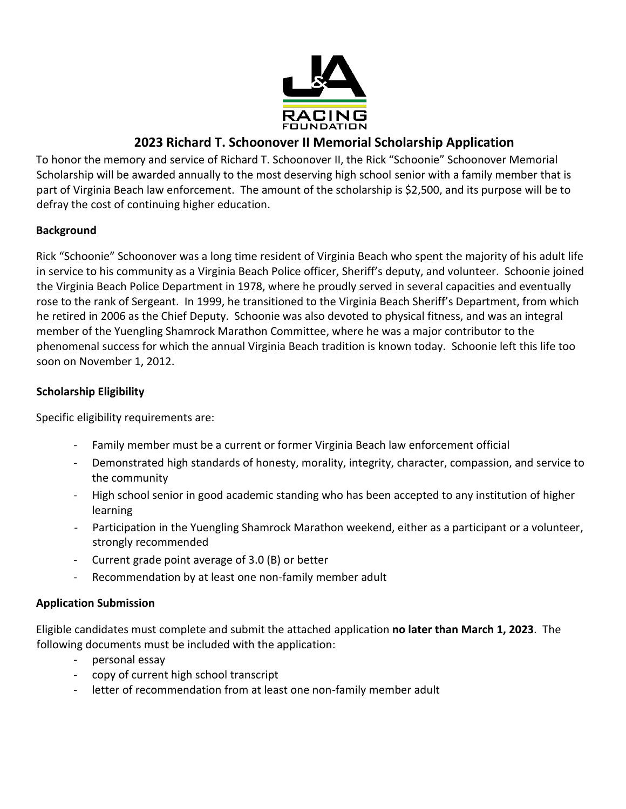

# **2023 Richard T. Schoonover II Memorial Scholarship Application**

To honor the memory and service of Richard T. Schoonover II, the Rick "Schoonie" Schoonover Memorial Scholarship will be awarded annually to the most deserving high school senior with a family member that is part of Virginia Beach law enforcement. The amount of the scholarship is \$2,500, and its purpose will be to defray the cost of continuing higher education.

## **Background**

Rick "Schoonie" Schoonover was a long time resident of Virginia Beach who spent the majority of his adult life in service to his community as a Virginia Beach Police officer, Sheriff's deputy, and volunteer. Schoonie joined the Virginia Beach Police Department in 1978, where he proudly served in several capacities and eventually rose to the rank of Sergeant. In 1999, he transitioned to the Virginia Beach Sheriff's Department, from which he retired in 2006 as the Chief Deputy. Schoonie was also devoted to physical fitness, and was an integral member of the Yuengling Shamrock Marathon Committee, where he was a major contributor to the phenomenal success for which the annual Virginia Beach tradition is known today. Schoonie left this life too soon on November 1, 2012.

### **Scholarship Eligibility**

Specific eligibility requirements are:

- Family member must be a current or former Virginia Beach law enforcement official
- Demonstrated high standards of honesty, morality, integrity, character, compassion, and service to the community
- High school senior in good academic standing who has been accepted to any institution of higher learning
- Participation in the Yuengling Shamrock Marathon weekend, either as a participant or a volunteer, strongly recommended
- Current grade point average of 3.0 (B) or better
- Recommendation by at least one non-family member adult

### **Application Submission**

Eligible candidates must complete and submit the attached application **no later than March 1, 2023**. The following documents must be included with the application:

- personal essay
- copy of current high school transcript
- letter of recommendation from at least one non-family member adult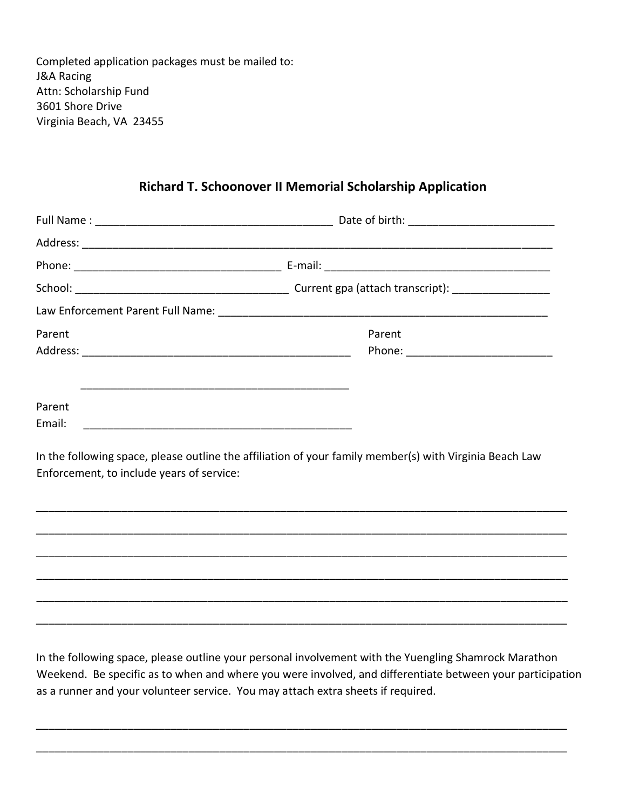Completed application packages must be mailed to: J&A Racing Attn: Scholarship Fund 3601 Shore Drive Virginia Beach, VA 23455

Enforcement, to include years of service:

# **Richard T. Schoonover II Memorial Scholarship Application**

| Parent | Parent                                                                                                  |
|--------|---------------------------------------------------------------------------------------------------------|
|        |                                                                                                         |
|        |                                                                                                         |
| Parent |                                                                                                         |
|        |                                                                                                         |
|        | In the following space, please outline the affiliation of your family member(s) with Virginia Beach Law |

\_\_\_\_\_\_\_\_\_\_\_\_\_\_\_\_\_\_\_\_\_\_\_\_\_\_\_\_\_\_\_\_\_\_\_\_\_\_\_\_\_\_\_\_\_\_\_\_\_\_\_\_\_\_\_\_\_\_\_\_\_\_\_\_\_\_\_\_\_\_\_\_\_\_\_\_\_\_\_\_\_\_\_\_\_\_\_ \_\_\_\_\_\_\_\_\_\_\_\_\_\_\_\_\_\_\_\_\_\_\_\_\_\_\_\_\_\_\_\_\_\_\_\_\_\_\_\_\_\_\_\_\_\_\_\_\_\_\_\_\_\_\_\_\_\_\_\_\_\_\_\_\_\_\_\_\_\_\_\_\_\_\_\_\_\_\_\_\_\_\_\_\_\_\_ \_\_\_\_\_\_\_\_\_\_\_\_\_\_\_\_\_\_\_\_\_\_\_\_\_\_\_\_\_\_\_\_\_\_\_\_\_\_\_\_\_\_\_\_\_\_\_\_\_\_\_\_\_\_\_\_\_\_\_\_\_\_\_\_\_\_\_\_\_\_\_\_\_\_\_\_\_\_\_\_\_\_\_\_\_\_\_

In the following space, please outline your personal involvement with the Yuengling Shamrock Marathon Weekend. Be specific as to when and where you were involved, and differentiate between your participation as a runner and your volunteer service. You may attach extra sheets if required.

\_\_\_\_\_\_\_\_\_\_\_\_\_\_\_\_\_\_\_\_\_\_\_\_\_\_\_\_\_\_\_\_\_\_\_\_\_\_\_\_\_\_\_\_\_\_\_\_\_\_\_\_\_\_\_\_\_\_\_\_\_\_\_\_\_\_\_\_\_\_\_\_\_\_\_\_\_\_\_\_\_\_\_\_\_\_\_

\_\_\_\_\_\_\_\_\_\_\_\_\_\_\_\_\_\_\_\_\_\_\_\_\_\_\_\_\_\_\_\_\_\_\_\_\_\_\_\_\_\_\_\_\_\_\_\_\_\_\_\_\_\_\_\_\_\_\_\_\_\_\_\_\_\_\_\_\_\_\_\_\_\_\_\_\_\_\_\_\_\_\_\_\_\_\_

\_\_\_\_\_\_\_\_\_\_\_\_\_\_\_\_\_\_\_\_\_\_\_\_\_\_\_\_\_\_\_\_\_\_\_\_\_\_\_\_\_\_\_\_\_\_\_\_\_\_\_\_\_\_\_\_\_\_\_\_\_\_\_\_\_\_\_\_\_\_\_\_\_\_\_\_\_\_\_\_\_\_\_\_\_\_\_

\_\_\_\_\_\_\_\_\_\_\_\_\_\_\_\_\_\_\_\_\_\_\_\_\_\_\_\_\_\_\_\_\_\_\_\_\_\_\_\_\_\_\_\_\_\_\_\_\_\_\_\_\_\_\_\_\_\_\_\_\_\_\_\_\_\_\_\_\_\_\_\_\_\_\_\_\_\_\_\_\_\_\_\_\_\_\_

\_\_\_\_\_\_\_\_\_\_\_\_\_\_\_\_\_\_\_\_\_\_\_\_\_\_\_\_\_\_\_\_\_\_\_\_\_\_\_\_\_\_\_\_\_\_\_\_\_\_\_\_\_\_\_\_\_\_\_\_\_\_\_\_\_\_\_\_\_\_\_\_\_\_\_\_\_\_\_\_\_\_\_\_\_\_\_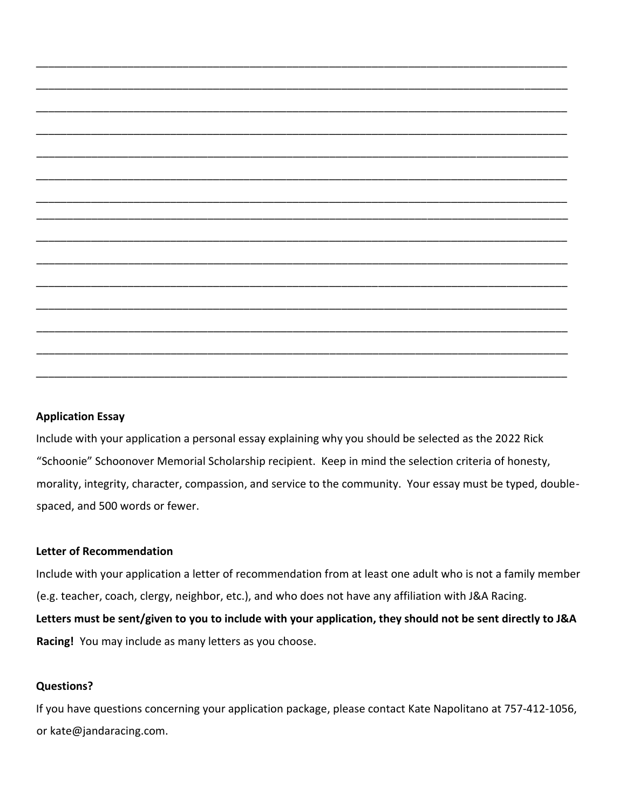

### **Application Essay**

Include with your application a personal essay explaining why you should be selected as the 2022 Rick "Schoonie" Schoonover Memorial Scholarship recipient. Keep in mind the selection criteria of honesty, morality, integrity, character, compassion, and service to the community. Your essay must be typed, doublespaced, and 500 words or fewer.

### **Letter of Recommendation**

Include with your application a letter of recommendation from at least one adult who is not a family member (e.g. teacher, coach, clergy, neighbor, etc.), and who does not have any affiliation with J&A Racing. **Letters must be sent/given to you to include with your application, they should not be sent directly to J&A Racing!** You may include as many letters as you choose.

#### **Questions?**

If you have questions concerning your application package, please contact Kate Napolitano at 757-412-1056, or kate@jandaracing.com.